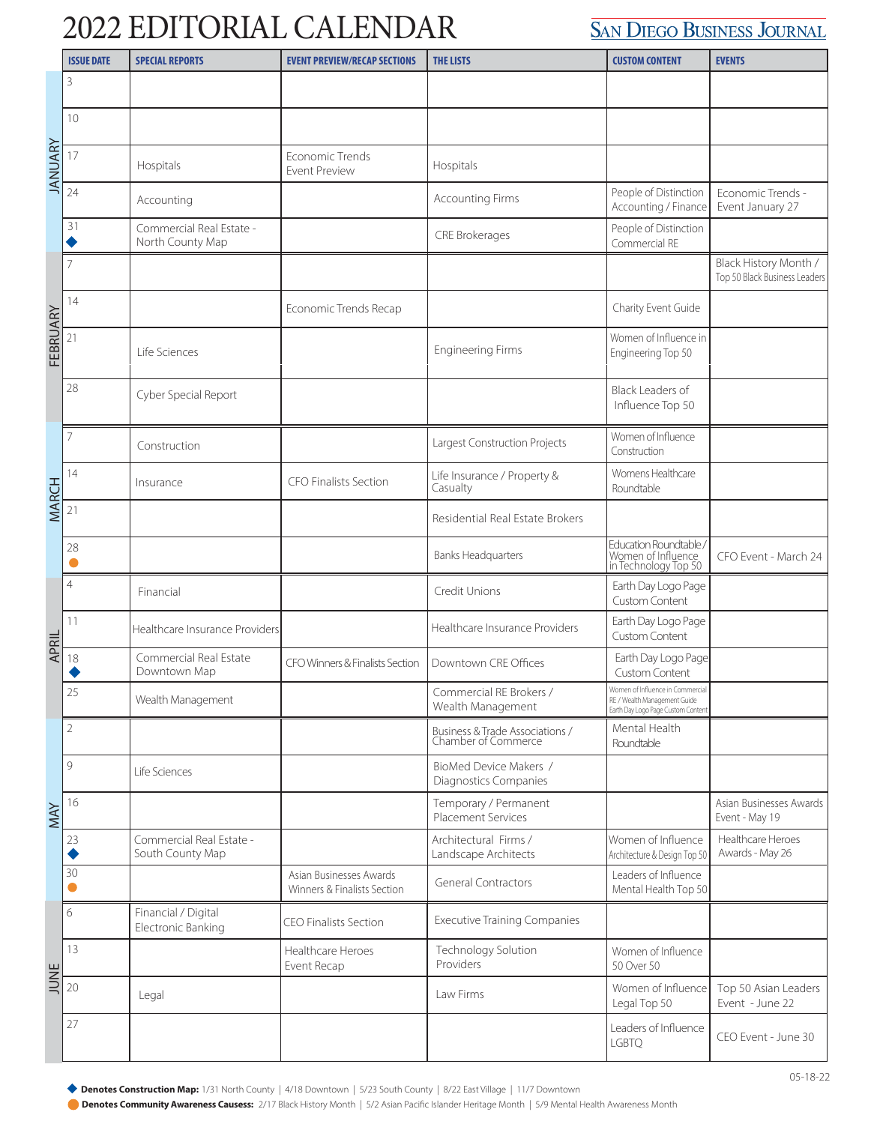## 2022 EDITORIAL CALENDAR

## **SAN DIEGO BUSINESS JOURNAL**

|              | <b>ISSUE DATE</b> | <b>SPECIAL REPORTS</b>                       | <b>EVENT PREVIEW/RECAP SECTIONS</b>                    | <b>THE LISTS</b>                                       | <b>CUSTOM CONTENT</b>                                                                                  | <b>EVENTS</b>                                          |
|--------------|-------------------|----------------------------------------------|--------------------------------------------------------|--------------------------------------------------------|--------------------------------------------------------------------------------------------------------|--------------------------------------------------------|
|              | 3                 |                                              |                                                        |                                                        |                                                                                                        |                                                        |
| JANUARY      | 10                |                                              |                                                        |                                                        |                                                                                                        |                                                        |
|              | 17                | Hospitals                                    | Economic Trends<br><b>Event Preview</b>                | Hospitals                                              |                                                                                                        |                                                        |
|              | 24                | Accounting                                   |                                                        | <b>Accounting Firms</b>                                | People of Distinction<br>Accounting / Finance                                                          | Economic Trends -<br>Event January 27                  |
|              | 31                | Commercial Real Estate -<br>North County Map |                                                        | <b>CRE Brokerages</b>                                  | People of Distinction<br>Commercial RE                                                                 |                                                        |
| FEBRUARY     |                   |                                              |                                                        |                                                        |                                                                                                        | Black History Month /<br>Top 50 Black Business Leaders |
|              | 14                |                                              | <b>Economic Trends Recap</b>                           |                                                        | Charity Event Guide                                                                                    |                                                        |
|              | 21                | Life Sciences                                |                                                        | <b>Engineering Firms</b>                               | Women of Influence in<br>Engineering Top 50                                                            |                                                        |
|              | 28                | Cyber Special Report                         |                                                        |                                                        | Black Leaders of<br>Influence Top 50                                                                   |                                                        |
|              | 7                 | Construction                                 |                                                        | Largest Construction Projects                          | Women of Influence<br>Construction                                                                     |                                                        |
| <b>MARCH</b> | 14                | Insurance                                    | CFO Finalists Section                                  | Life Insurance / Property &<br>Casualty                | Womens Healthcare<br>Roundtable                                                                        |                                                        |
|              | 21                |                                              |                                                        | Residential Real Estate Brokers                        |                                                                                                        |                                                        |
|              | 28                |                                              |                                                        | <b>Banks Headquarters</b>                              | Education Roundtable<br>Women of Influence<br>in Technology Top 50                                     | CFO Event - March 24                                   |
| APRIL        | 4                 | Financial                                    |                                                        | Credit Unions                                          | Earth Day Logo Page<br>Custom Content                                                                  |                                                        |
|              | 11                | Healthcare Insurance Providers               |                                                        | Healthcare Insurance Providers                         | Earth Day Logo Page<br>Custom Content                                                                  |                                                        |
|              | 18                | Commercial Real Estate<br>Downtown Map       | CFO Winners & Finalists Section                        | Downtown CRE Offices                                   | Earth Day Logo Page<br><b>Custom Content</b>                                                           |                                                        |
|              | 25                | Wealth Management                            |                                                        | Commercial RE Brokers /<br>Wealth Management           | Women of Influence in Commercial<br>RE / Wealth Management Guide<br>Earth Day Logo Page Custom Content |                                                        |
| MAY          | $\overline{2}$    |                                              |                                                        | Business & Trade Associations /<br>Chamber of Commerce | Mental Health<br>Roundtable                                                                            |                                                        |
|              | 9                 | Life Sciences                                |                                                        | BioMed Device Makers /<br>Diagnostics Companies        |                                                                                                        |                                                        |
|              | 16                |                                              |                                                        | Temporary / Permanent<br><b>Placement Services</b>     |                                                                                                        | Asian Businesses Awards<br>Event - May 19              |
|              | 23                | Commercial Real Estate -<br>South County Map |                                                        | Architectural Firms /<br>Landscape Architects          | Women of Influence<br>Architecture & Design Top 50                                                     | Healthcare Heroes<br>Awards - May 26                   |
|              | 30                |                                              | Asian Businesses Awards<br>Winners & Finalists Section | <b>General Contractors</b>                             | Leaders of Influence<br>Mental Health Top 50                                                           |                                                        |
| JUNE         | 6                 | Financial / Digital<br>Electronic Banking    | <b>CEO Finalists Section</b>                           | <b>Executive Training Companies</b>                    |                                                                                                        |                                                        |
|              | 13                |                                              | Healthcare Heroes<br>Event Recap                       | Technology Solution<br>Providers                       | Women of Influence<br>50 Over 50                                                                       |                                                        |
|              | 20                | Legal                                        |                                                        | Law Firms                                              | Women of Influence<br>Legal Top 50                                                                     | Top 50 Asian Leaders<br>Event - June 22                |
|              | 27                |                                              |                                                        |                                                        | Leaders of Influence<br><b>LGBTQ</b>                                                                   | CEO Event - June 30                                    |

Denotes Construction Map: 1/31 North County | 4/18 Downtown | 5/23 South County | 8/22 East Village | 11/7 Downtown

**Denotes Community Awareness Causess:** 2/17 Black History Month | 5/2 Asian Pacific Islander Heritage Month | 5/9 Mental Health Awareness Month